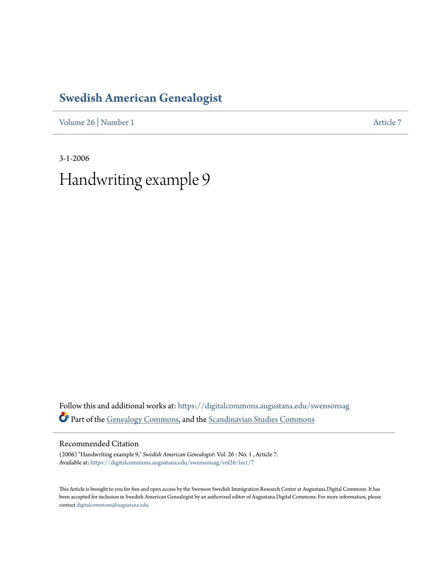## **[Swedish American Genealogist](https://digitalcommons.augustana.edu/swensonsag?utm_source=digitalcommons.augustana.edu%2Fswensonsag%2Fvol26%2Fiss1%2F7&utm_medium=PDF&utm_campaign=PDFCoverPages)**

[Volume 26](https://digitalcommons.augustana.edu/swensonsag/vol26?utm_source=digitalcommons.augustana.edu%2Fswensonsag%2Fvol26%2Fiss1%2F7&utm_medium=PDF&utm_campaign=PDFCoverPages) | [Number 1](https://digitalcommons.augustana.edu/swensonsag/vol26/iss1?utm_source=digitalcommons.augustana.edu%2Fswensonsag%2Fvol26%2Fiss1%2F7&utm_medium=PDF&utm_campaign=PDFCoverPages) [Article 7](https://digitalcommons.augustana.edu/swensonsag/vol26/iss1/7?utm_source=digitalcommons.augustana.edu%2Fswensonsag%2Fvol26%2Fiss1%2F7&utm_medium=PDF&utm_campaign=PDFCoverPages)

3-1-2006 Handwriting example 9

Follow this and additional works at: [https://digitalcommons.augustana.edu/swensonsag](https://digitalcommons.augustana.edu/swensonsag?utm_source=digitalcommons.augustana.edu%2Fswensonsag%2Fvol26%2Fiss1%2F7&utm_medium=PDF&utm_campaign=PDFCoverPages) Part of the [Genealogy Commons](http://network.bepress.com/hgg/discipline/1342?utm_source=digitalcommons.augustana.edu%2Fswensonsag%2Fvol26%2Fiss1%2F7&utm_medium=PDF&utm_campaign=PDFCoverPages), and the [Scandinavian Studies Commons](http://network.bepress.com/hgg/discipline/485?utm_source=digitalcommons.augustana.edu%2Fswensonsag%2Fvol26%2Fiss1%2F7&utm_medium=PDF&utm_campaign=PDFCoverPages)

Recommended Citation

(2006) "Handwriting example 9," *Swedish American Genealogist*: Vol. 26 : No. 1 , Article 7. Available at: [https://digitalcommons.augustana.edu/swensonsag/vol26/iss1/7](https://digitalcommons.augustana.edu/swensonsag/vol26/iss1/7?utm_source=digitalcommons.augustana.edu%2Fswensonsag%2Fvol26%2Fiss1%2F7&utm_medium=PDF&utm_campaign=PDFCoverPages)

This Article is brought to you for free and open access by the Swenson Swedish Immigration Research Center at Augustana Digital Commons. It has been accepted for inclusion in Swedish American Genealogist by an authorized editor of Augustana Digital Commons. For more information, please contact [digitalcommons@augustana.edu.](mailto:digitalcommons@augustana.edu)